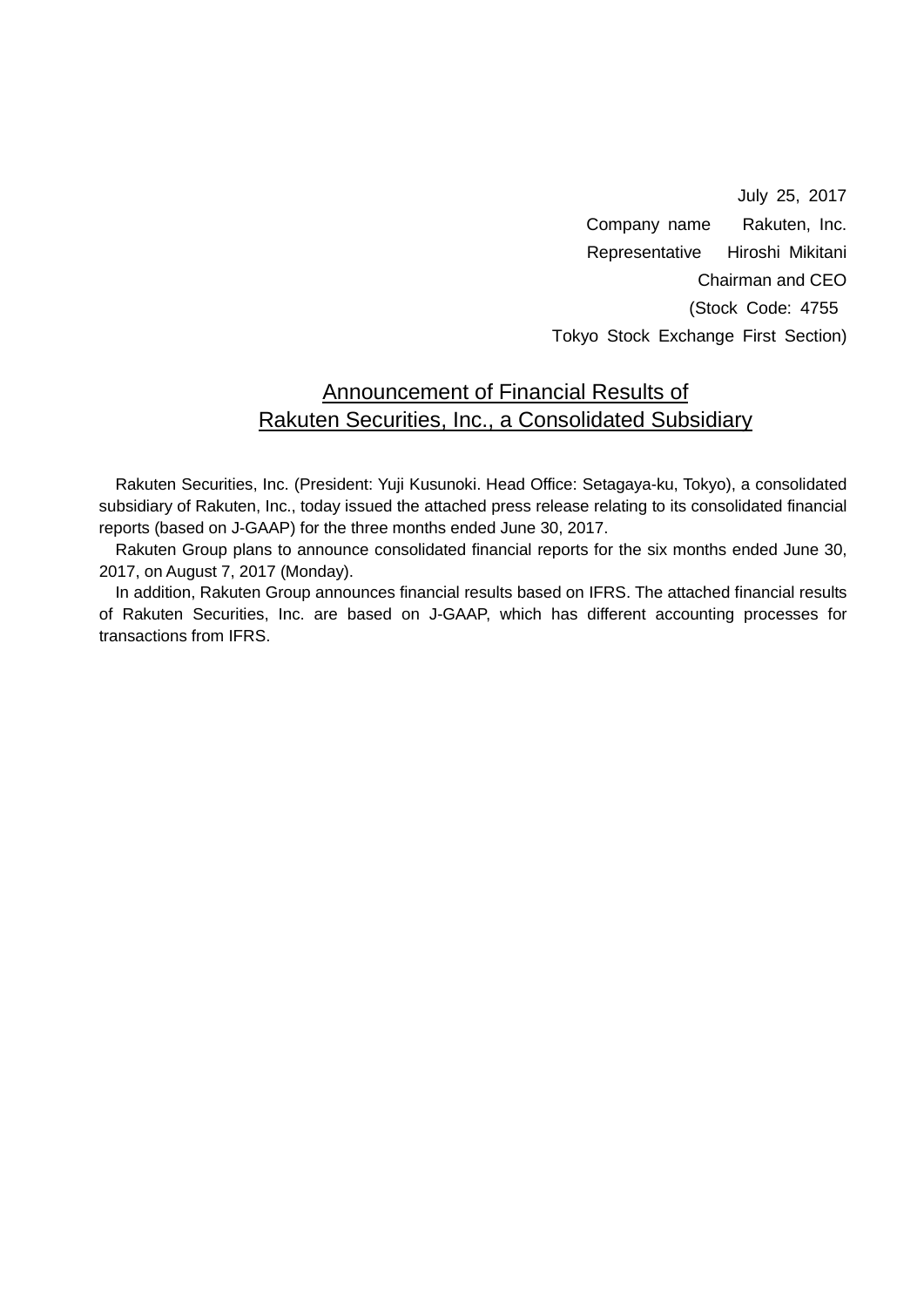July 25, 2017 Company name Rakuten, Inc. Representative Hiroshi Mikitani Chairman and CEO (Stock Code: 4755 Tokyo Stock Exchange First Section)

### Announcement of Financial Results of Rakuten Securities, Inc., a Consolidated Subsidiary

Rakuten Securities, Inc. (President: Yuji Kusunoki. Head Office: Setagaya-ku, Tokyo), a consolidated subsidiary of Rakuten, Inc., today issued the attached press release relating to its consolidated financial reports (based on J-GAAP) for the three months ended June 30, 2017.

Rakuten Group plans to announce consolidated financial reports for the six months ended June 30, 2017, on August 7, 2017 (Monday).

In addition, Rakuten Group announces financial results based on IFRS. The attached financial results of Rakuten Securities, Inc. are based on J-GAAP, which has different accounting processes for transactions from IFRS.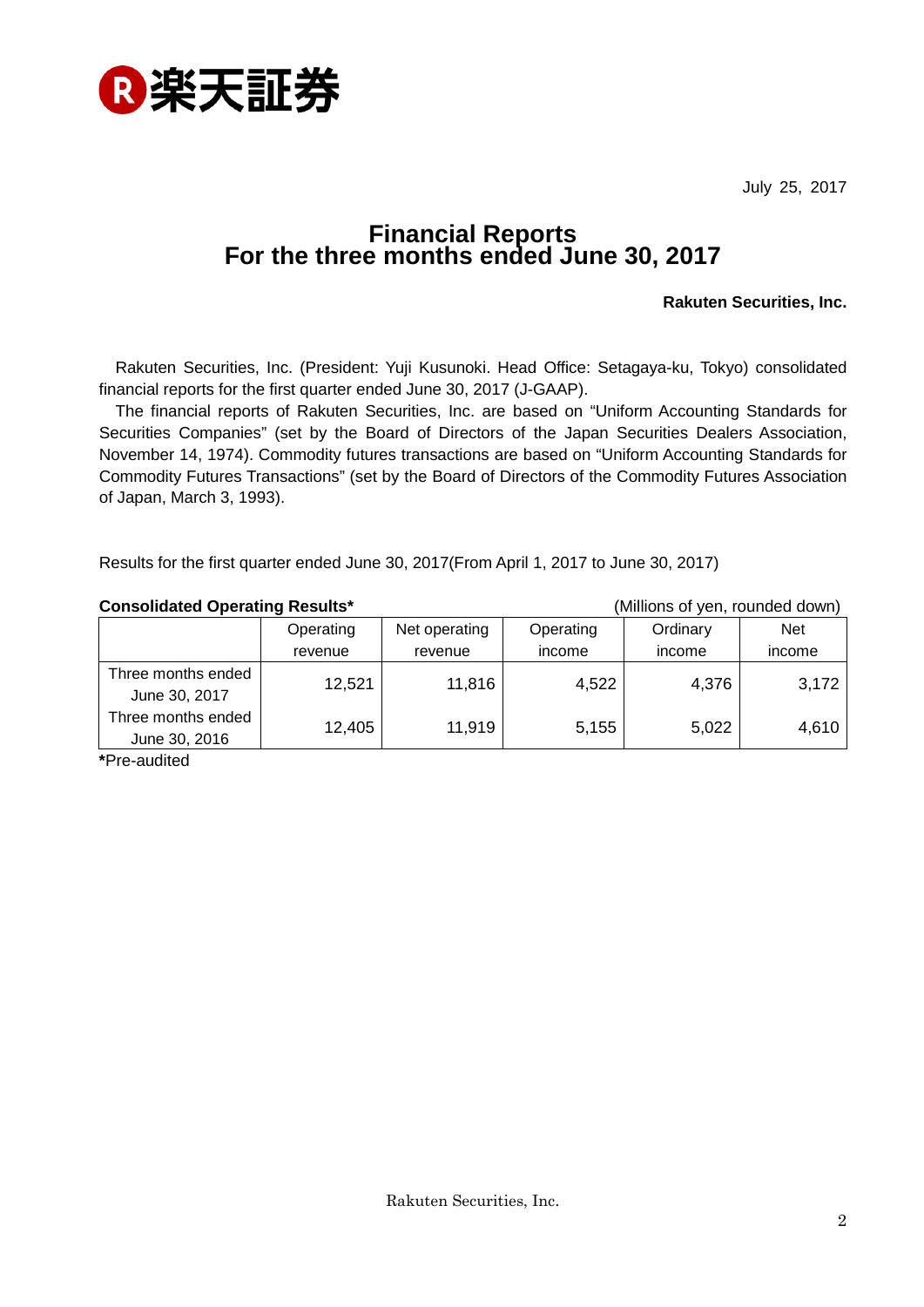

July 25, 2017

# **Financial Reports For the three months ended June 30, 2017**

#### **Rakuten Securities, Inc.**

Rakuten Securities, Inc. (President: Yuji Kusunoki. Head Office: Setagaya-ku, Tokyo) consolidated financial reports for the first quarter ended June 30, 2017 (J-GAAP).

The financial reports of Rakuten Securities, Inc. are based on "Uniform Accounting Standards for Securities Companies" (set by the Board of Directors of the Japan Securities Dealers Association, November 14, 1974). Commodity futures transactions are based on "Uniform Accounting Standards for Commodity Futures Transactions" (set by the Board of Directors of the Commodity Futures Association of Japan, March 3, 1993).

Results for the first quarter ended June 30, 2017(From April 1, 2017 to June 30, 2017)

#### **Consolidated Operating Results\*** (Millions of yen, rounded down)

|                                     | Operating | Net operating | Operating | Ordinary | <b>Net</b> |
|-------------------------------------|-----------|---------------|-----------|----------|------------|
|                                     | revenue   | revenue       | income    | income   | income     |
| Three months ended<br>June 30, 2017 | 12,521    | 11,816        | 4,522     | 4,376    | 3,172      |
| Three months ended<br>June 30, 2016 | 12,405    | 11.919        | 5,155     | 5,022    | 4,610      |

**\***Pre-audited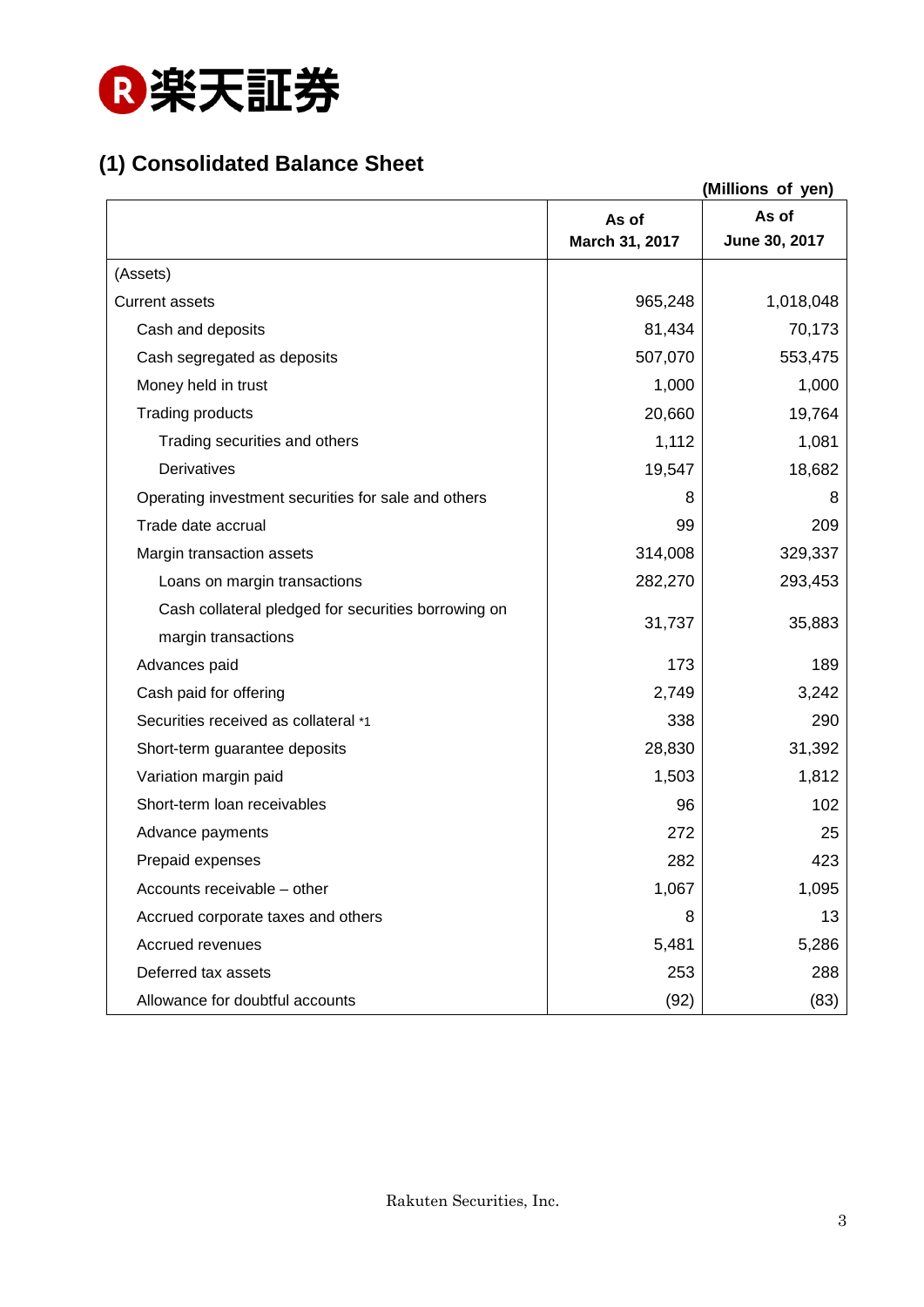

## **(1) Consolidated Balance Sheet**

| (Millions of yen)                                   |                         |                        |
|-----------------------------------------------------|-------------------------|------------------------|
|                                                     | As of<br>March 31, 2017 | As of<br>June 30, 2017 |
| (Assets)                                            |                         |                        |
| <b>Current assets</b>                               | 965,248                 | 1,018,048              |
| Cash and deposits                                   | 81,434                  | 70,173                 |
| Cash segregated as deposits                         | 507,070                 | 553,475                |
| Money held in trust                                 | 1,000                   | 1,000                  |
| <b>Trading products</b>                             | 20,660                  | 19,764                 |
| Trading securities and others                       | 1,112                   | 1,081                  |
| Derivatives                                         | 19,547                  | 18,682                 |
| Operating investment securities for sale and others | 8                       | 8                      |
| Trade date accrual                                  | 99                      | 209                    |
|                                                     | 314,008                 |                        |
| Margin transaction assets                           |                         | 329,337<br>293,453     |
| Loans on margin transactions                        | 282,270                 |                        |
| Cash collateral pledged for securities borrowing on | 31,737                  | 35,883                 |
| margin transactions                                 |                         | 189                    |
| Advances paid                                       | 173                     |                        |
| Cash paid for offering                              | 2,749                   | 3,242                  |
| Securities received as collateral *1                | 338                     | 290                    |
| Short-term guarantee deposits                       | 28,830                  | 31,392                 |
| Variation margin paid                               | 1,503                   | 1,812                  |
| Short-term loan receivables                         | 96                      | 102                    |
| Advance payments                                    | 272                     | 25                     |
| Prepaid expenses                                    | 282                     | 423                    |
| Accounts receivable - other                         | 1,067                   | 1,095                  |
| Accrued corporate taxes and others                  | 8                       | 13                     |
| Accrued revenues                                    | 5,481                   | 5,286                  |
| Deferred tax assets                                 | 253                     | 288                    |
| Allowance for doubtful accounts                     | (92)                    | (83)                   |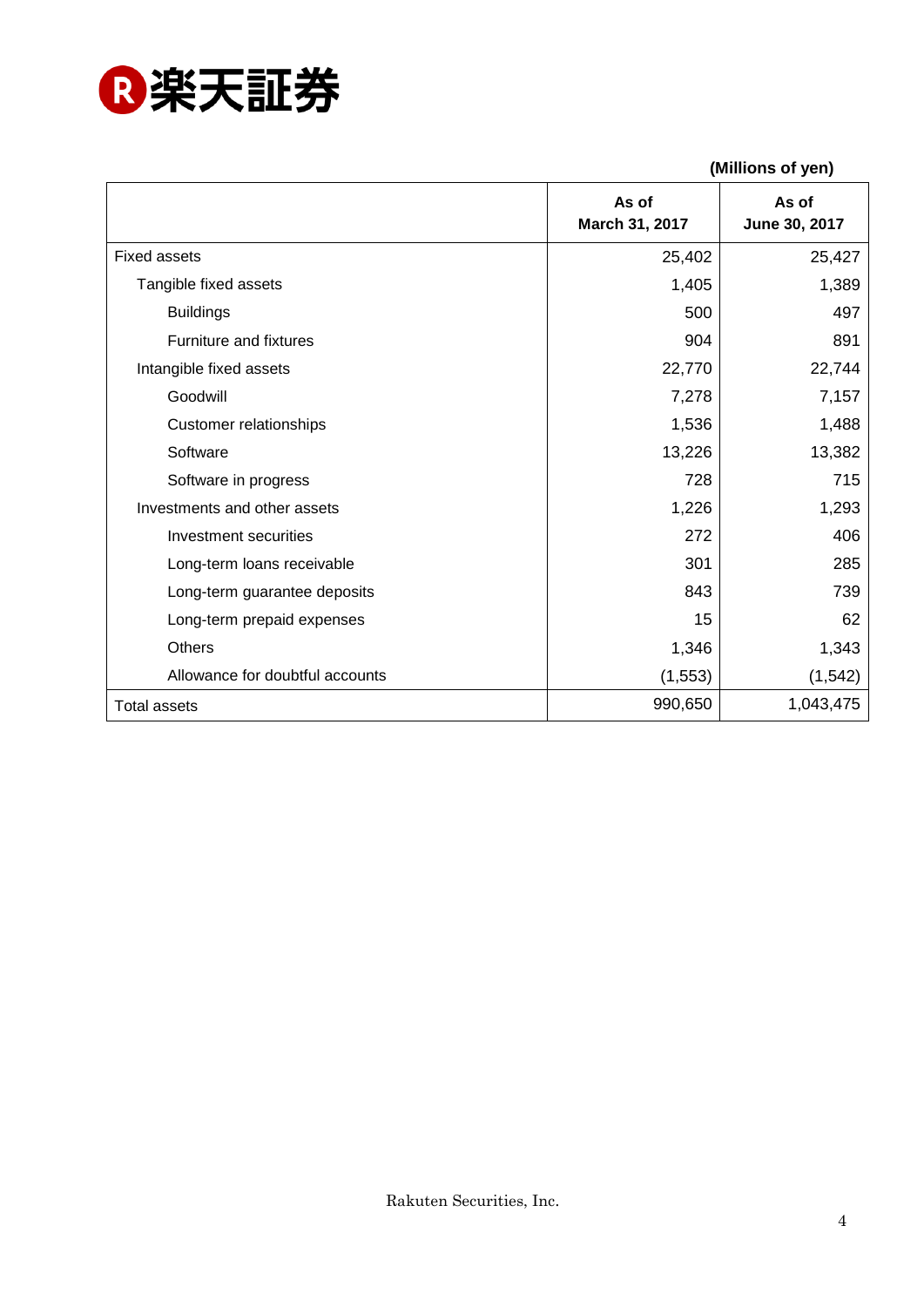

|                                 | (Millions of yen)       |                        |
|---------------------------------|-------------------------|------------------------|
|                                 | As of<br>March 31, 2017 | As of<br>June 30, 2017 |
| <b>Fixed assets</b>             | 25,402                  | 25,427                 |
| Tangible fixed assets           | 1,405                   | 1,389                  |
| <b>Buildings</b>                | 500                     | 497                    |
| Furniture and fixtures          | 904                     | 891                    |
| Intangible fixed assets         | 22,770                  | 22,744                 |
| Goodwill                        | 7,278                   | 7,157                  |
| <b>Customer relationships</b>   | 1,536                   | 1,488                  |
| Software                        | 13,226                  | 13,382                 |
| Software in progress            | 728                     | 715                    |
| Investments and other assets    | 1,226                   | 1,293                  |
| Investment securities           | 272                     | 406                    |
| Long-term loans receivable      | 301                     | 285                    |
| Long-term guarantee deposits    | 843                     | 739                    |
| Long-term prepaid expenses      | 15                      | 62                     |
| <b>Others</b>                   | 1,346                   | 1,343                  |
| Allowance for doubtful accounts | (1, 553)                | (1, 542)               |
| <b>Total assets</b>             | 990,650                 | 1,043,475              |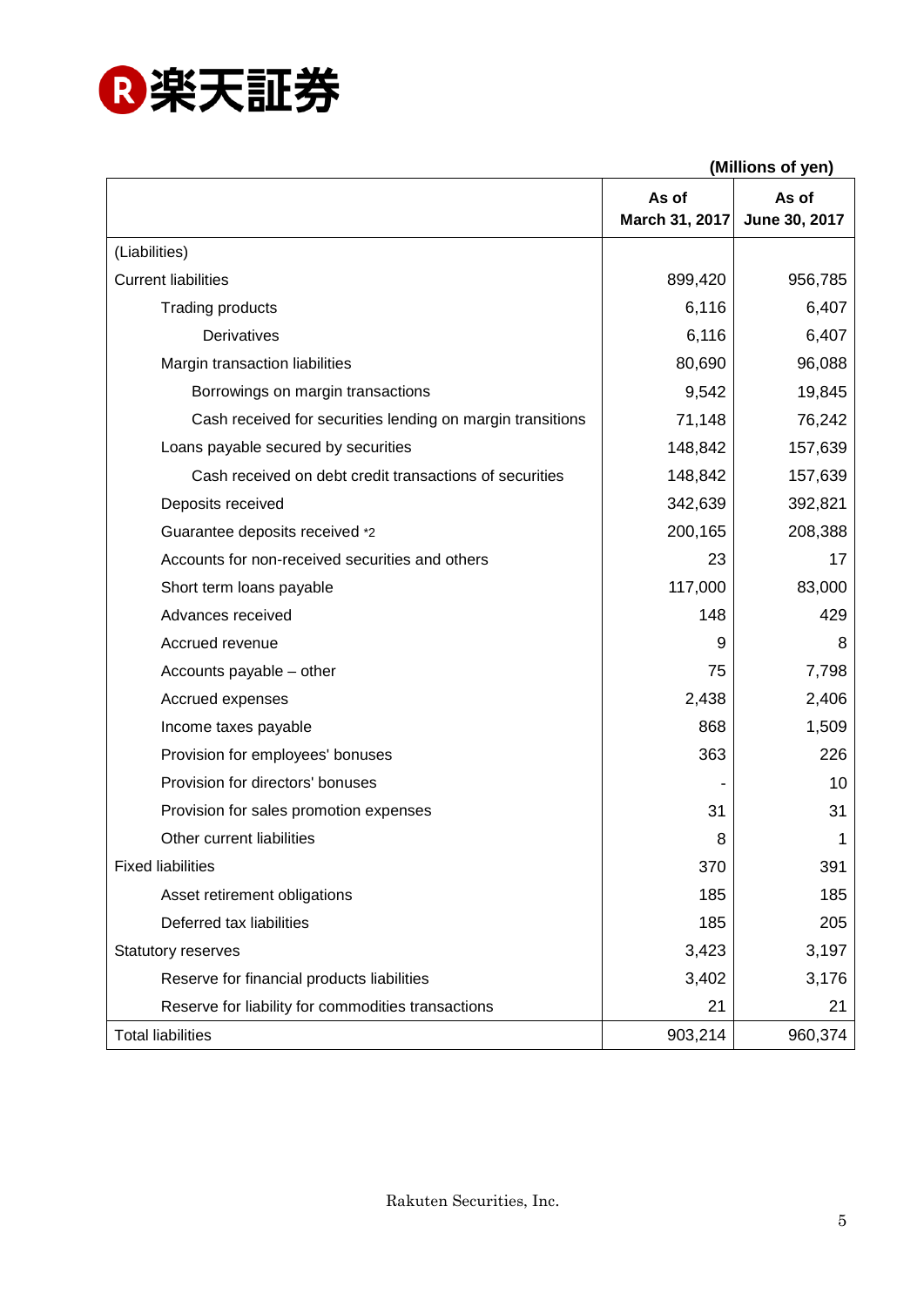

**(Millions of yen)**

|                                                            | As of<br>March 31, 2017 | As of<br>June 30, 2017 |
|------------------------------------------------------------|-------------------------|------------------------|
| (Liabilities)                                              |                         |                        |
| <b>Current liabilities</b>                                 | 899,420                 | 956,785                |
| <b>Trading products</b>                                    | 6,116                   | 6,407                  |
| <b>Derivatives</b>                                         | 6,116                   | 6,407                  |
| Margin transaction liabilities                             | 80,690                  | 96,088                 |
| Borrowings on margin transactions                          | 9,542                   | 19,845                 |
| Cash received for securities lending on margin transitions | 71,148                  | 76,242                 |
| Loans payable secured by securities                        | 148,842                 | 157,639                |
| Cash received on debt credit transactions of securities    | 148,842                 | 157,639                |
| Deposits received                                          | 342,639                 | 392,821                |
| Guarantee deposits received *2                             | 200,165                 | 208,388                |
| Accounts for non-received securities and others            | 23                      | 17                     |
| Short term loans payable                                   | 117,000                 | 83,000                 |
| Advances received                                          | 148                     | 429                    |
| Accrued revenue                                            | 9                       | 8                      |
| Accounts payable - other                                   | 75                      | 7,798                  |
| Accrued expenses                                           | 2,438                   | 2,406                  |
| Income taxes payable                                       | 868                     | 1,509                  |
| Provision for employees' bonuses                           | 363                     | 226                    |
| Provision for directors' bonuses                           |                         | 10                     |
| Provision for sales promotion expenses                     | 31                      | 31                     |
| Other current liabilities                                  | 8                       | 1                      |
| <b>Fixed liabilities</b>                                   | 370                     | 391                    |
| Asset retirement obligations                               | 185                     | 185                    |
| Deferred tax liabilities                                   | 185                     | 205                    |
| <b>Statutory reserves</b>                                  | 3,423                   | 3,197                  |
| Reserve for financial products liabilities                 | 3,402                   | 3,176                  |
| Reserve for liability for commodities transactions         | 21                      | 21                     |
| <b>Total liabilities</b>                                   | 903,214                 | 960,374                |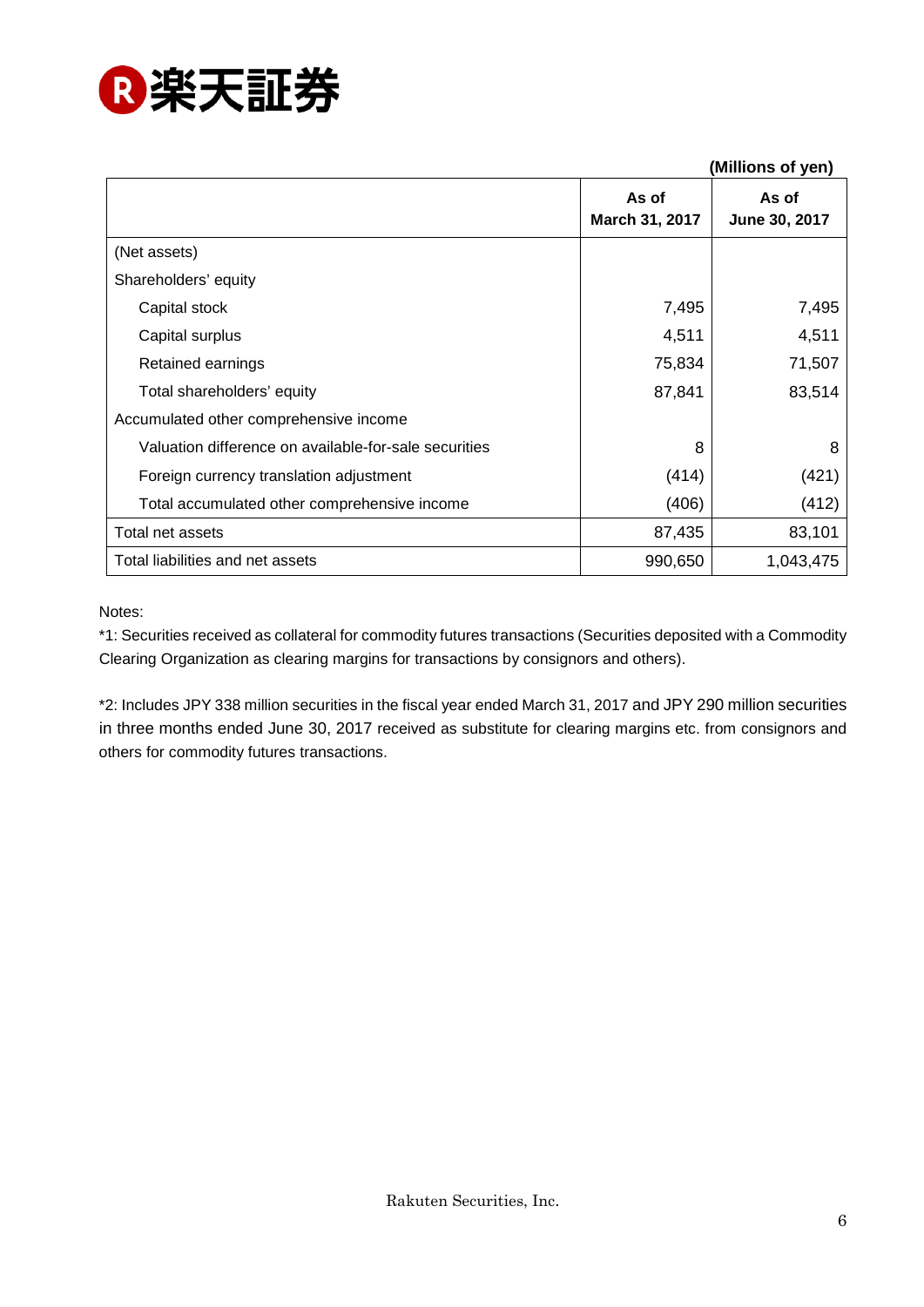

|                                                       |                         | (Millions of yen)      |
|-------------------------------------------------------|-------------------------|------------------------|
|                                                       | As of<br>March 31, 2017 | As of<br>June 30, 2017 |
| (Net assets)                                          |                         |                        |
| Shareholders' equity                                  |                         |                        |
| Capital stock                                         | 7,495                   | 7,495                  |
| Capital surplus                                       | 4,511                   | 4,511                  |
| Retained earnings                                     | 75,834                  | 71,507                 |
| Total shareholders' equity                            | 87,841                  | 83,514                 |
| Accumulated other comprehensive income                |                         |                        |
| Valuation difference on available-for-sale securities | 8                       | 8                      |
| Foreign currency translation adjustment               | (414)                   | (421)                  |
| Total accumulated other comprehensive income          | (406)                   | (412)                  |
| Total net assets                                      | 87,435                  | 83,101                 |
| Total liabilities and net assets                      | 990,650                 | 1,043,475              |

Notes:

\*1: Securities received as collateral for commodity futures transactions (Securities deposited with a Commodity Clearing Organization as clearing margins for transactions by consignors and others).

\*2: Includes JPY 338 million securities in the fiscal year ended March 31, 2017 and JPY 290 million securities in three months ended June 30, 2017 received as substitute for clearing margins etc. from consignors and others for commodity futures transactions.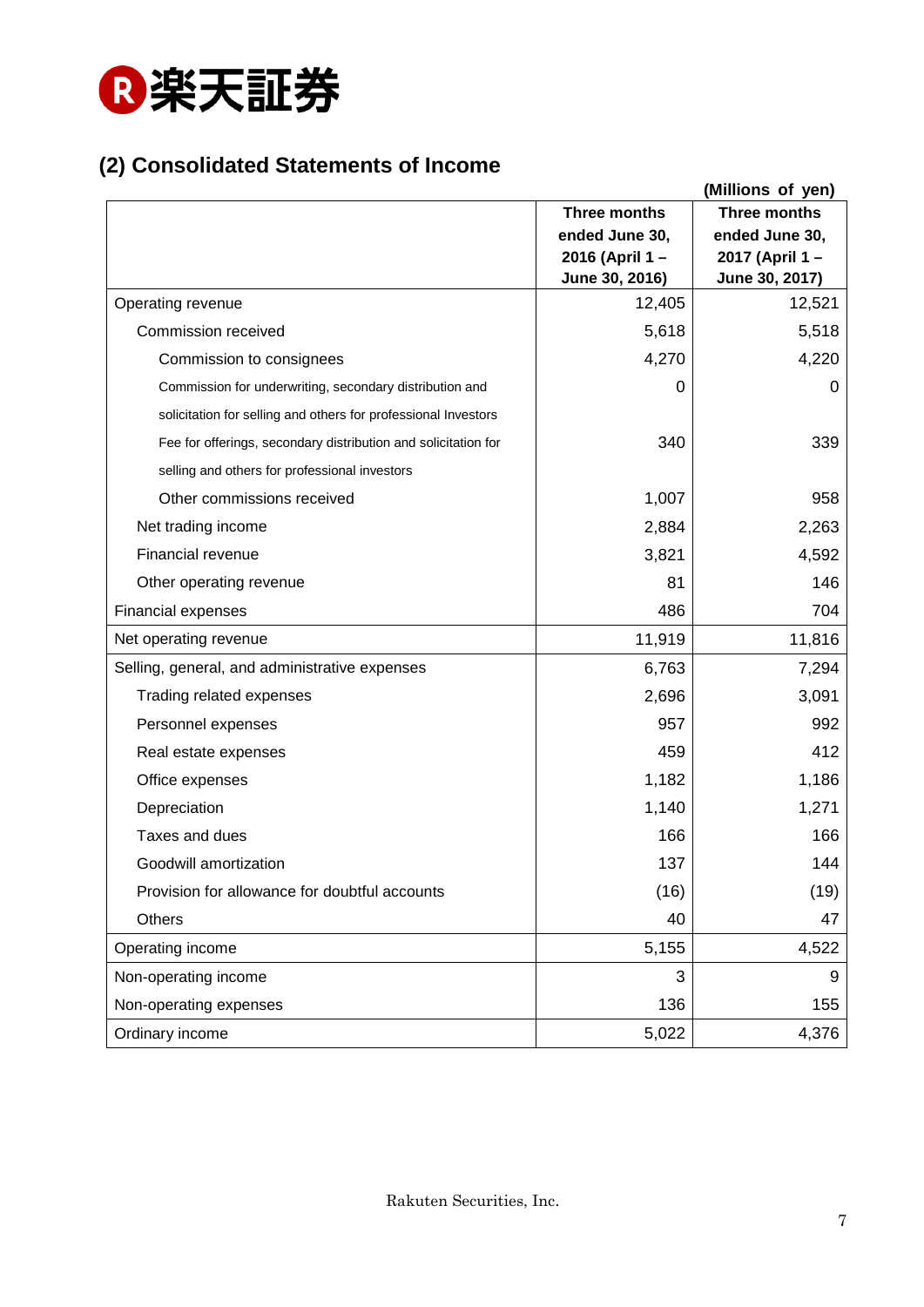

## **(2) Consolidated Statements of Income**

|                                                                |                                                                    | (Millions of yen)                                                  |
|----------------------------------------------------------------|--------------------------------------------------------------------|--------------------------------------------------------------------|
|                                                                | Three months<br>ended June 30,<br>2016 (April 1-<br>June 30, 2016) | Three months<br>ended June 30,<br>2017 (April 1-<br>June 30, 2017) |
| Operating revenue                                              | 12,405                                                             | 12,521                                                             |
| Commission received                                            | 5,618                                                              | 5,518                                                              |
| Commission to consignees                                       | 4,270                                                              | 4,220                                                              |
| Commission for underwriting, secondary distribution and        | 0                                                                  | 0                                                                  |
| solicitation for selling and others for professional Investors |                                                                    |                                                                    |
| Fee for offerings, secondary distribution and solicitation for | 340                                                                | 339                                                                |
| selling and others for professional investors                  |                                                                    |                                                                    |
| Other commissions received                                     | 1,007                                                              | 958                                                                |
| Net trading income                                             | 2,884                                                              | 2,263                                                              |
| Financial revenue                                              | 3,821                                                              | 4,592                                                              |
| Other operating revenue                                        | 81                                                                 | 146                                                                |
| <b>Financial expenses</b>                                      | 486                                                                | 704                                                                |
| Net operating revenue                                          | 11,919                                                             | 11,816                                                             |
| Selling, general, and administrative expenses                  | 6,763                                                              | 7,294                                                              |
| Trading related expenses                                       | 2,696                                                              | 3,091                                                              |
| Personnel expenses                                             | 957                                                                | 992                                                                |
| Real estate expenses                                           | 459                                                                | 412                                                                |
| Office expenses                                                | 1,182                                                              | 1,186                                                              |
| Depreciation                                                   | 1,140                                                              | 1,271                                                              |
| Taxes and dues                                                 | 166                                                                | 166                                                                |
| Goodwill amortization                                          | 137                                                                | 144                                                                |
| Provision for allowance for doubtful accounts                  | (16)                                                               | (19)                                                               |
| Others                                                         | 40                                                                 | 47                                                                 |
| Operating income                                               | 5,155                                                              | 4,522                                                              |
| Non-operating income                                           | 3                                                                  | 9                                                                  |
| Non-operating expenses                                         | 136                                                                | 155                                                                |
| Ordinary income                                                | 5,022                                                              | 4,376                                                              |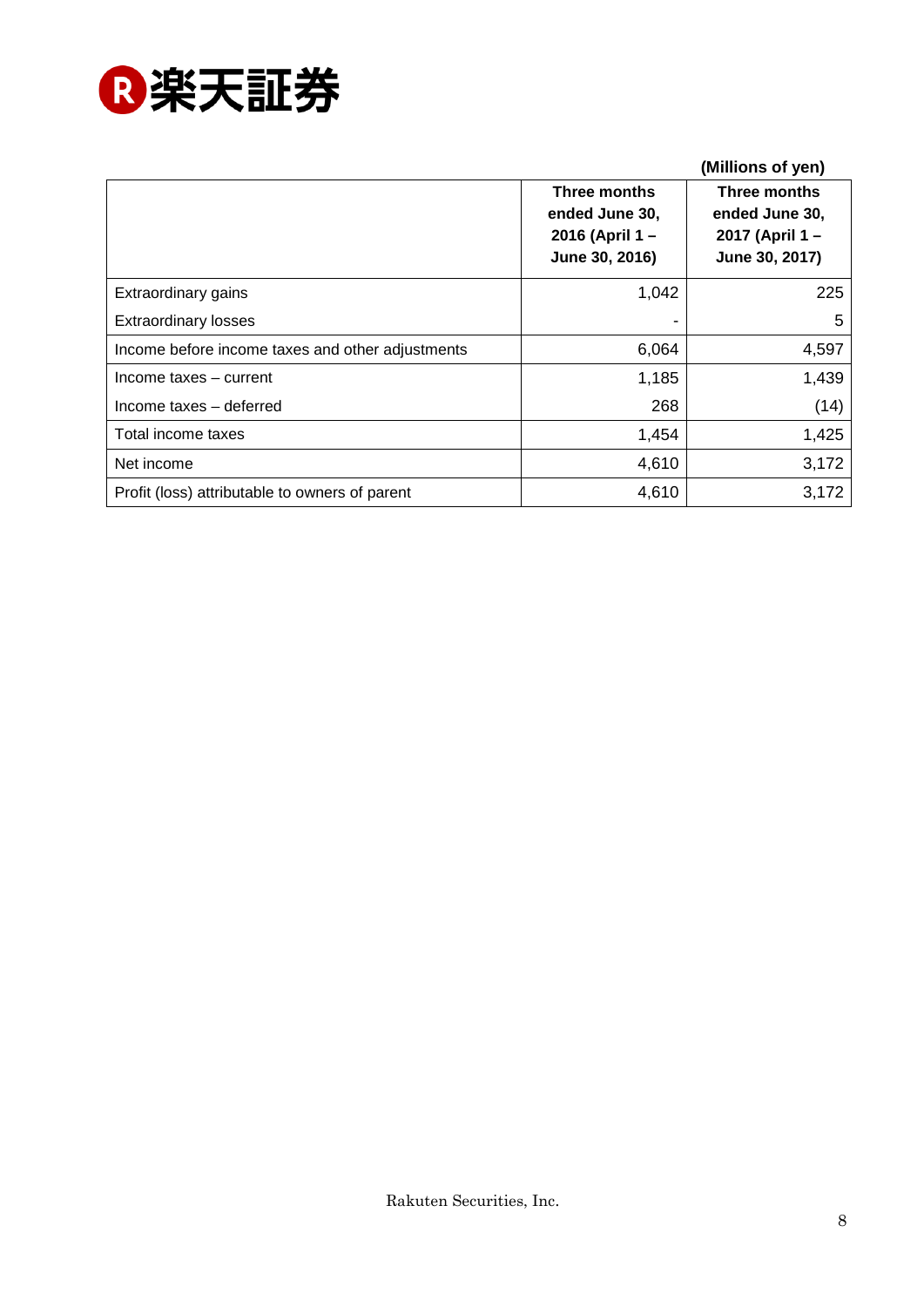

|                                                  |                                                                    | (Millions of yen)                                                  |
|--------------------------------------------------|--------------------------------------------------------------------|--------------------------------------------------------------------|
|                                                  | Three months<br>ended June 30,<br>2016 (April 1-<br>June 30, 2016) | Three months<br>ended June 30,<br>2017 (April 1-<br>June 30, 2017) |
| Extraordinary gains                              | 1,042                                                              | 225                                                                |
| <b>Extraordinary losses</b>                      |                                                                    | 5                                                                  |
| Income before income taxes and other adjustments | 6,064                                                              | 4,597                                                              |
| Income taxes - current                           | 1,185                                                              | 1,439                                                              |
| Income taxes - deferred                          | 268                                                                | (14)                                                               |
| Total income taxes                               | 1,454                                                              | 1,425                                                              |
| Net income                                       | 4,610                                                              | 3,172                                                              |
| Profit (loss) attributable to owners of parent   | 4,610                                                              | 3,172                                                              |